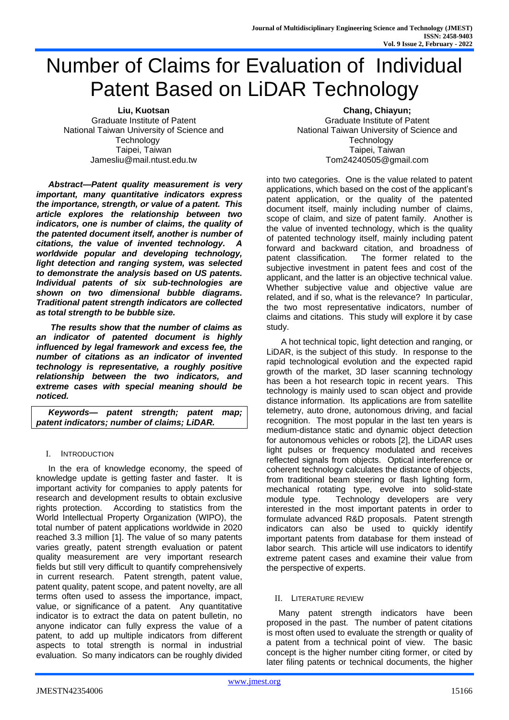# Number of Claims for Evaluation of Individual Patent Based on LiDAR Technology

**Liu, Kuotsan** Graduate Institute of Patent National Taiwan University of Science and **Technology** Taipei, Taiwan Jamesliu@mail.ntust.edu.tw

*Abstract—Patent quality measurement is very important, many quantitative indicators express the importance, strength, or value of a patent. This article explores the relationship between two indicators, one is number of claims, the quality of the patented document itself, another is number of citations, the value of invented technology. A worldwide popular and developing technology, light detection and ranging system, was selected to demonstrate the analysis based on US patents. Individual patents of six sub-technologies are shown on two dimensional bubble diagrams. Traditional patent strength indicators are collected as total strength to be bubble size.*

*The results show that the number of claims as an indicator of patented document is highly influenced by legal framework and excess fee, the number of citations as an indicator of invented technology is representative, a roughly positive relationship between the two indicators, and extreme cases with special meaning should be noticed.* 

*Keywords— patent strength; patent map; patent indicators; number of claims; LiDAR.*

# I. INTRODUCTION

In the era of knowledge economy, the speed of knowledge update is getting faster and faster. It is important activity for companies to apply patents for research and development results to obtain exclusive rights protection. According to statistics from the World Intellectual Property Organization (WIPO), the total number of patent applications worldwide in 2020 reached 3.3 million [1]. The value of so many patents varies greatly, patent strength evaluation or patent quality measurement are very important research fields but still very difficult to quantify comprehensively in current research. Patent strength, patent value, patent quality, patent scope, and patent novelty, are all terms often used to assess the importance, impact, value, or significance of a patent. Any quantitative indicator is to extract the data on patent bulletin, no anyone indicator can fully express the value of a patent, to add up multiple indicators from different aspects to total strength is normal in industrial evaluation. So many indicators can be roughly divided

**Chang, Chiayun;**  Graduate Institute of Patent National Taiwan University of Science and **Technology** Taipei, Taiwan Tom24240505@gmail.com

into two categories. One is the value related to patent applications, which based on the cost of the applicant's patent application, or the quality of the patented document itself, mainly including number of claims, scope of claim, and size of patent family. Another is the value of invented technology, which is the quality of patented technology itself, mainly including patent forward and backward citation, and broadness of patent classification. The former related to the subjective investment in patent fees and cost of the applicant, and the latter is an objective technical value. Whether subjective value and objective value are related, and if so, what is the relevance? In particular, the two most representative indicators, number of claims and citations. This study will explore it by case study.

A hot technical topic, light detection and ranging, or LiDAR, is the subject of this study. In response to the rapid technological evolution and the expected rapid growth of the market, 3D laser scanning technology has been a hot research topic in recent years. This technology is mainly used to scan object and provide distance information. Its applications are from satellite telemetry, auto drone, autonomous driving, and facial recognition. The most popular in the last ten years is medium-distance static and dynamic object detection for autonomous vehicles or robots [2], the LiDAR uses light pulses or frequency modulated and receives reflected signals from objects. Optical interference or coherent technology calculates the distance of objects, from traditional beam steering or flash lighting form, mechanical rotating type, evolve into solid-state module type. Technology developers are very interested in the most important patents in order to formulate advanced R&D proposals. Patent strength indicators can also be used to quickly identify important patents from database for them instead of labor search. This article will use indicators to identify extreme patent cases and examine their value from the perspective of experts.

# II. LITERATURE REVIEW

Many patent strength indicators have been proposed in the past. The number of patent citations is most often used to evaluate the strength or quality of a patent from a technical point of view. The basic concept is the higher number citing former, or cited by later filing patents or technical documents, the higher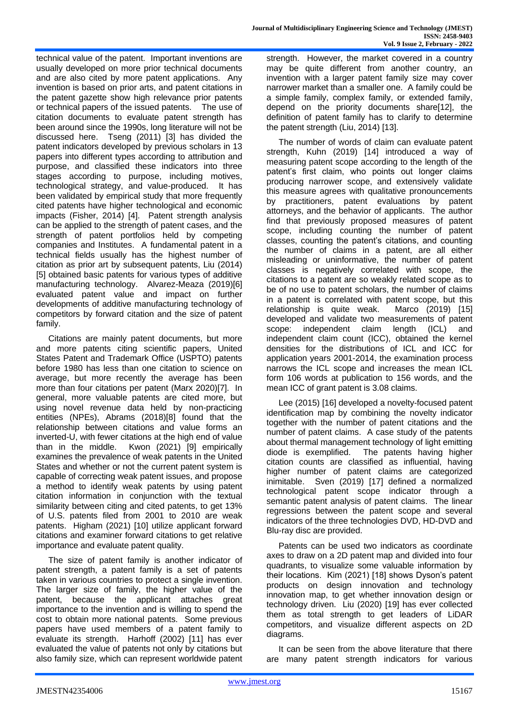technical value of the patent. Important inventions are usually developed on more prior technical documents and are also cited by more patent applications. Any invention is based on prior arts, and patent citations in the patent gazette show high relevance prior patents or technical papers of the issued patents. The use of citation documents to evaluate patent strength has been around since the 1990s, long literature will not be discussed here. Tseng (2011) [3] has divided the patent indicators developed by previous scholars in 13 papers into different types according to attribution and purpose, and classified these indicators into three stages according to purpose, including motives, technological strategy, and value-produced. It has been validated by empirical study that more frequently cited patents have higher technological and economic impacts (Fisher, 2014) [4]. Patent strength analysis can be applied to the strength of patent cases, and the strength of patent portfolios held by competing companies and Institutes. A fundamental patent in a

technical fields usually has the highest number of citation as prior art by subsequent patents, Liu (2014) [5] obtained basic patents for various types of additive manufacturing technology. Alvarez-Meaza (2019)[6] evaluated patent value and impact on further developments of additive manufacturing technology of competitors by forward citation and the size of patent family.

Citations are mainly patent documents, but more and more patents citing scientific papers, United States Patent and Trademark Office (USPTO) patents before 1980 has less than one citation to science on average, but more recently the average has been more than four citations per patent (Marx 2020)[7]. In general, more valuable patents are cited more, but using novel revenue data held by non-practicing entities (NPEs), Abrams (2018)[8] found that the relationship between citations and value forms an inverted-U, with fewer citations at the high end of value than in the middle. Kwon (2021) [9] empirically examines the prevalence of weak patents in the United States and whether or not the current patent system is capable of correcting weak patent issues, and propose a method to identify weak patents by using patent citation information in conjunction with the textual similarity between citing and cited patents, to get 13% of U.S. patents filed from 2001 to 2010 are weak patents. Higham (2021) [10] utilize applicant forward citations and examiner forward citations to get relative importance and evaluate patent quality.

The size of patent family is another indicator of patent strength, a patent family is a set of patents taken in various countries to protect a single invention. The larger size of family, the higher value of the patent, because the applicant attaches great importance to the invention and is willing to spend the cost to obtain more national patents. Some previous papers have used members of a patent family to evaluate its strength. Harhoff (2002) [11] has ever evaluated the value of patents not only by citations but also family size, which can represent worldwide patent strength. However, the market covered in a country may be quite different from another country, an invention with a larger patent family size may cover narrower market than a smaller one. A family could be a simple family, complex family, or extended family, depend on the priority documents share[12], the definition of patent family has to clarify to determine the patent strength (Liu, 2014) [13].

The number of words of claim can evaluate patent strength, Kuhn (2019) [14] introduced a way of measuring patent scope according to the length of the patent's first claim, who points out longer claims producing narrower scope, and extensively validate this measure agrees with qualitative pronouncements by practitioners, patent evaluations by patent attorneys, and the behavior of applicants. The author find that previously proposed measures of patent scope, including counting the number of patent classes, counting the patent's citations, and counting the number of claims in a patent, are all either misleading or uninformative, the number of patent classes is negatively correlated with scope, the citations to a patent are so weakly related scope as to be of no use to patent scholars, the number of claims in a patent is correlated with patent scope, but this relationship is quite weak. Marco (2019) [15] developed and validate two measurements of patent scope: independent claim length (ICL) and independent claim count (ICC), obtained the kernel densities for the distributions of ICL and ICC for application years 2001-2014, the examination process narrows the ICL scope and increases the mean ICL form 106 words at publication to 156 words, and the mean ICC of grant patent is 3.08 claims.

Lee (2015) [16] developed a novelty-focused patent identification map by combining the novelty indicator together with the number of patent citations and the number of patent claims. A case study of the patents about thermal management technology of light emitting diode is exemplified. The patents having higher citation counts are classified as influential, having higher number of patent claims are categorized inimitable. Sven (2019) [17] defined a normalized technological patent scope indicator through a semantic patent analysis of patent claims. The linear regressions between the patent scope and several indicators of the three technologies DVD, HD-DVD and Blu-ray disc are provided.

Patents can be used two indicators as coordinate axes to draw on a 2D patent map and divided into four quadrants, to visualize some valuable information by their locations. Kim (2021) [18] shows Dyson's patent products on design innovation and technology innovation map, to get whether innovation design or technology driven. Liu (2020) [19] has ever collected them as total strength to get leaders of LiDAR competitors, and visualize different aspects on 2D diagrams.

It can be seen from the above literature that there are many patent strength indicators for various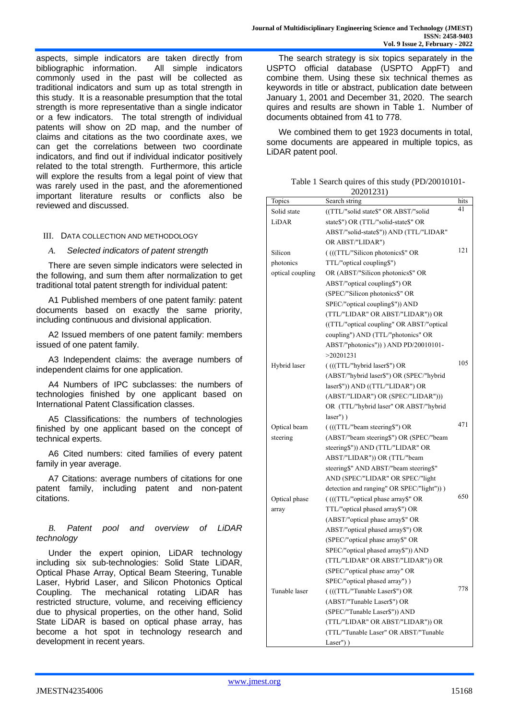aspects, simple indicators are taken directly from bibliographic information. All simple indicators commonly used in the past will be collected as traditional indicators and sum up as total strength in this study. It is a reasonable presumption that the total strength is more representative than a single indicator or a few indicators. The total strength of individual patents will show on 2D map, and the number of claims and citations as the two coordinate axes, we can get the correlations between two coordinate indicators, and find out if individual indicator positively related to the total strength. Furthermore, this article will explore the results from a legal point of view that was rarely used in the past, and the aforementioned important literature results or conflicts also be reviewed and discussed.

#### III. DATA COLLECTION AND METHODOLOGY

#### *A. Selected indicators of patent strength*

There are seven simple indicators were selected in the following, and sum them after normalization to get traditional total patent strength for individual patent:

A1 Published members of one patent family: patent documents based on exactly the same priority, including continuous and divisional application.

A2 Issued members of one patent family: members issued of one patent family.

A3 Independent claims: the average numbers of independent claims for one application.

A4 Numbers of IPC subclasses: the numbers of technologies finished by one applicant based on International Patent Classification classes.

A5 Classifications: the numbers of technologies finished by one applicant based on the concept of technical experts.

A6 Cited numbers: cited families of every patent family in year average.

A7 Citations: average numbers of citations for one patent family, including patent and non-patent citations.

## *B. Patent pool and overview of LiDAR technology*

Under the expert opinion, LiDAR technology including six sub-technologies: Solid State LiDAR, Optical Phase Array, Optical Beam Steering, Tunable Laser, Hybrid Laser, and Silicon Photonics Optical Coupling. The mechanical rotating LiDAR has restricted structure, volume, and receiving efficiency due to physical properties, on the other hand, Solid State LiDAR is based on optical phase array, has become a hot spot in technology research and development in recent years.

The search strategy is six topics separately in the USPTO official database (USPTO AppFT) and combine them. Using these six technical themes as keywords in title or abstract, publication date between January 1, 2001 and December 31, 2020. The search quires and results are shown in Table 1. Number of documents obtained from 41 to 778.

We combined them to get 1923 documents in total, some documents are appeared in multiple topics, as LiDAR patent pool.

Table 1 Search quires of this study (PD/20010101-20201231)

|                  | 0.0101201                                 |      |
|------------------|-------------------------------------------|------|
| Topics           | Search string                             | hits |
| Solid state      | ((TTL/"solid state\$" OR ABST/"solid      | 41   |
| LiDAR            | state\$") OR (TTL/"solid-state\$" OR      |      |
|                  | ABST/"solid-state\$")) AND (TTL/"LIDAR"   |      |
|                  | OR ABST/"LIDAR")                          |      |
| Silicon          | (((TTL/"Silicon photonics\$" OR           | 121  |
| photonics        | TTL/"optical coupling\$")                 |      |
| optical coupling | OR (ABST/"Silicon photonics\$" OR         |      |
|                  | ABST/"optical coupling\$") OR             |      |
|                  | (SPEC/"Silicon photonics\$" OR            |      |
|                  | SPEC/"optical coupling\$")) AND           |      |
|                  | (TTL/"LIDAR" OR ABST/"LIDAR")) OR         |      |
|                  | ((TTL/"optical coupling" OR ABST/"optical |      |
|                  | coupling") AND (TTL/"photonics" OR        |      |
|                  | ABST/"photonics")) ) AND PD/20010101-     |      |
|                  | >20201231                                 |      |
| Hybrid laser     | ((((TTL/"hybrid laser\$") OR              | 105  |
|                  | (ABST/"hybrid laser\$") OR (SPEC/"hybrid  |      |
|                  | laser\$")) AND ((TTL/"LIDAR") OR          |      |
|                  | (ABST/"LIDAR") OR (SPEC/"LIDAR")))        |      |
|                  | OR (TTL/"hybrid laser" OR ABST/"hybrid    |      |
|                  | $laser'')$ )                              |      |
| Optical beam     | ((((TTL/"beam steering\$") OR             | 471  |
| steering         | (ABST/"beam steering\$") OR (SPEC/"beam   |      |
|                  | steering\$")) AND (TTL/"LIDAR" OR         |      |
|                  | ABST/"LIDAR")) OR (TTL/"beam              |      |
|                  | steering\$" AND ABST/"beam steering\$"    |      |
|                  | AND (SPEC/"LIDAR" OR SPEC/"light          |      |
|                  | detection and ranging" OR SPEC/"light"))) |      |
| Optical phase    | (((TTL/"optical phase array\$" OR         | 650  |
| array            | TTL/"optical phased array\$") OR          |      |
|                  | (ABST/"optical phase array\$" OR          |      |
|                  | ABST/"optical phased array\$") OR         |      |
|                  | (SPEC/"optical phase array\$" OR          |      |
|                  | SPEC/"optical phased array\$")) AND       |      |
|                  | (TTL/"LIDAR" OR ABST/"LIDAR")) OR         |      |
|                  | (SPEC/"optical phase array" OR            |      |
|                  | SPEC/"optical phased array") )            |      |
| Tunable laser    | ((((TTL/"Tunable Laser\$") OR             | 778  |
|                  | (ABST/"Tunable Laser\$") OR               |      |
|                  | (SPEC/"Tunable Laser\$")) AND             |      |
|                  | (TTL/"LIDAR" OR ABST/"LIDAR")) OR         |      |
|                  | (TTL/"Tunable Laser" OR ABST/"Tunable     |      |
|                  | Laser" $)$ )                              |      |
|                  |                                           |      |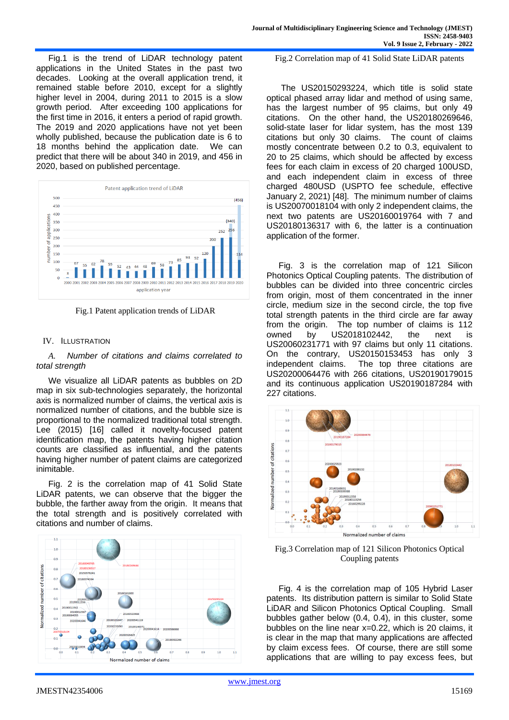Fig.1 is the trend of LiDAR technology patent applications in the United States in the past two decades. Looking at the overall application trend, it remained stable before 2010, except for a slightly higher level in 2004, during 2011 to 2015 is a slow growth period. After exceeding 100 applications for the first time in 2016, it enters a period of rapid growth. The 2019 and 2020 applications have not yet been wholly published, because the publication date is 6 to 18 months behind the application date. We can predict that there will be about 340 in 2019, and 456 in 2020, based on published percentage.



Fig.1 Patent application trends of LiDAR

## IV. ILLUSTRATION

## *A. Number of citations and claims correlated to total strength*

We visualize all LiDAR patents as bubbles on 2D map in six sub-technologies separately, the horizontal axis is normalized number of claims, the vertical axis is normalized number of citations, and the bubble size is proportional to the normalized traditional total strength. Lee (2015) [16] called it novelty-focused patent identification map, the patents having higher citation counts are classified as influential, and the patents having higher number of patent claims are categorized inimitable.

Fig. 2 is the correlation map of 41 Solid State LiDAR patents, we can observe that the bigger the bubble, the farther away from the origin. It means that the total strength and is positively correlated with citations and number of claims.



Fig.2 Correlation map of 41 Solid State LiDAR patents

The US20150293224, which title is solid state optical phased array lidar and method of using same, has the largest number of 95 claims, but only 49 citations. On the other hand, the US20180269646, solid-state laser for lidar system, has the most 139 citations but only 30 claims. The count of claims mostly concentrate between 0.2 to 0.3, equivalent to 20 to 25 claims, which should be affected by excess fees for each claim in excess of 20 charged 100USD, and each independent claim in excess of three charged 480USD (USPTO fee schedule, effective January 2, 2021) [48]. The minimum number of claims is US20070018104 with only 2 independent claims, the next two patents are US20160019764 with 7 and US20180136317 with 6, the latter is a continuation application of the former.

Fig. 3 is the correlation map of 121 Silicon Photonics Optical Coupling patents. The distribution of bubbles can be divided into three concentric circles from origin, most of them concentrated in the inner circle, medium size in the second circle, the top five total strength patents in the third circle are far away from the origin. The top number of claims is 112 owned by US2018102442, the next is US20060231771 with 97 claims but only 11 citations. On the contrary, US20150153453 has only 3 independent claims. The top three citations are The top three citations are US20200064476 with 266 citations, US20190179015 and its continuous application US20190187284 with 227 citations.



Fig.3 Correlation map of 121 Silicon Photonics Optical Coupling patents

Fig. 4 is the correlation map of 105 Hybrid Laser patents. Its distribution pattern is similar to Solid State LiDAR and Silicon Photonics Optical Coupling. Small bubbles gather below (0.4, 0.4), in this cluster, some bubbles on the line near x=0.22, which is 20 claims, it is clear in the map that many applications are affected by claim excess fees. Of course, there are still some applications that are willing to pay excess fees, but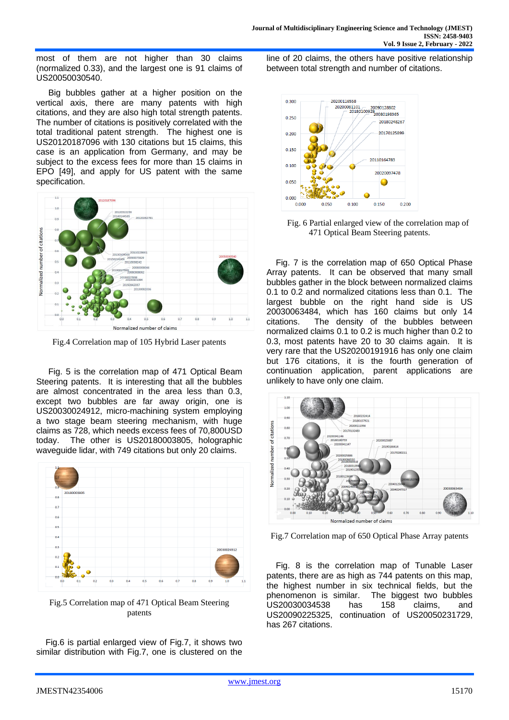most of them are not higher than 30 claims (normalized 0.33), and the largest one is 91 claims of US20050030540.

Big bubbles gather at a higher position on the vertical axis, there are many patents with high citations, and they are also high total strength patents. The number of citations is positively correlated with the total traditional patent strength. The highest one is US20120187096 with 130 citations but 15 claims, this case is an application from Germany, and may be subject to the excess fees for more than 15 claims in EPO [49], and apply for US patent with the same specification.



Fig.4 Correlation map of 105 Hybrid Laser patents

Fig. 5 is the correlation map of 471 Optical Beam Steering patents. It is interesting that all the bubbles are almost concentrated in the area less than 0.3, except two bubbles are far away origin, one is US20030024912, micro-machining system employing a two stage beam steering mechanism, with huge claims as 728, which needs excess fees of 70,800USD today. The other is US20180003805, holographic waveguide lidar, with 749 citations but only 20 claims.



Fig.5 Correlation map of 471 Optical Beam Steering patents

 Fig.6 is partial enlarged view of Fig.7, it shows two similar distribution with Fig.7, one is clustered on the line of 20 claims, the others have positive relationship between total strength and number of citations.



Fig. 6 Partial enlarged view of the correlation map of 471 Optical Beam Steering patents.

 Fig. 7 is the correlation map of 650 Optical Phase Array patents. It can be observed that many small bubbles gather in the block between normalized claims 0.1 to 0.2 and normalized citations less than 0.1. The largest bubble on the right hand side is US 20030063484, which has 160 claims but only 14 citations. The density of the bubbles between normalized claims 0.1 to 0.2 is much higher than 0.2 to 0.3, most patents have 20 to 30 claims again. It is very rare that the US20200191916 has only one claim but 176 citations, it is the fourth generation of continuation application, parent applications are unlikely to have only one claim.



Fig.7 Correlation map of 650 Optical Phase Array patents

 Fig. 8 is the correlation map of Tunable Laser patents, there are as high as 744 patents on this map, the highest number in six technical fields, but the phenomenon is similar. The biggest two bubbles US20030034538 has 158 claims, and US20090225325, continuation of US20050231729, has 267 citations.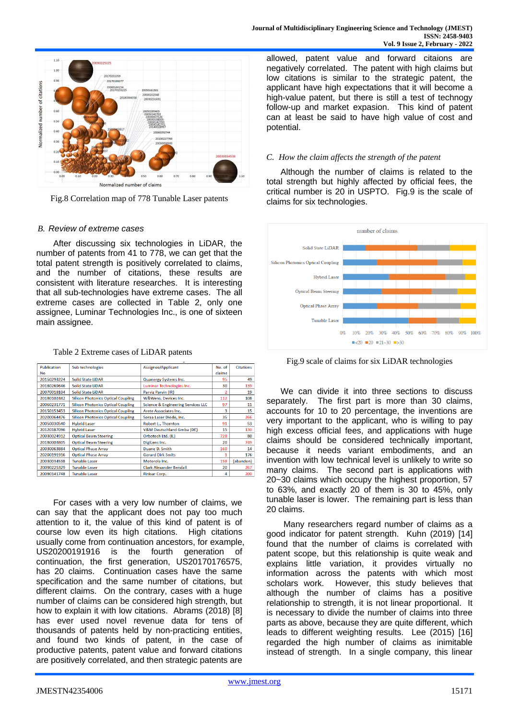

Fig.8 Correlation map of 778 Tunable Laser patents

## *B. Review of extreme cases*

After discussing six technologies in LiDAR, the number of patents from 41 to 778, we can get that the total patent strength is positively correlated to claims, and the number of citations, these results are consistent with literature researches. It is interesting that all sub-technologies have extreme cases. The all extreme cases are collected in Table 2, only one assignee, Luminar Technologies Inc., is one of sixteen main assignee.

#### Table 2 Extreme cases of LiDAR patents

| <b>Publication</b><br>No | Sub technologies                          | Assignee/Applicant                 | No. of<br>claims | <b>Citations</b> |
|--------------------------|-------------------------------------------|------------------------------------|------------------|------------------|
| 20150293224              | <b>Solid State LiDAR</b>                  | Quanergy Systems Inc.              | 95               | 49               |
| 20180269646              | <b>Solid State LiDAR</b>                  | Luminar Technologies Inc.          | 30               | 139              |
| 20070018104              | <b>Solid State LiDAR</b>                  | Parviz Parvin (IR)                 | $\overline{2}$   | 19               |
| 20180102442              | <b>Silicon Photonics Optical Coupling</b> | <b>W&amp;Wens, Devices Inc.</b>    | 112              | 108              |
| 20060231771              | <b>Silicon Photonics Optical Coupling</b> | Science & Engineering Services LLC | 97               | 11               |
| 20150153453              | <b>Silicon Photonics Optical Coupling</b> | Arete Associates Inc.              | 3                | 15               |
| 20200064476              | <b>Silicon Photonics Optical Coupling</b> | Soraa Laser Diode, Inc.            | 35               | 266              |
| 20050030540              | <b>Hybrid Laser</b>                       | Robert L., Thornton                | 91               | 53               |
| 20120187096              | <b>Hybrid Laser</b>                       | V&M Deutschland Gmba (DE)          | 15               | 130              |
| 20030024912              | <b>Optical Beam Steering</b>              | Orbotech Ltd. (IL)                 | 728              | 80               |
| 20180003805              | <b>Optical Beam Steering</b>              | DigiLens Inc.                      | 20 <sup>°</sup>  | 749              |
| 20030063884              | <b>Optical Phase Arrav</b>                | Duane D. Smith                     | 160              | 14               |
| 20200191916              | <b>Optical Phase Array</b>                | <b>Gerard Dirk Smits</b>           | 1                | 176              |
| 20030034538              | <b>Tunable Laser</b>                      | Motorola Inc.                      | 158              | (abandon)        |
| 20090225329              | <b>Tunable Laser</b>                      | <b>Clark Alexander Bendall</b>     | 20               | 267              |
| 20090141748              | <b>Tunable Laser</b>                      | <b>Finisar Corp.</b>               | 4                | 200              |

For cases with a very low number of claims, we can say that the applicant does not pay too much attention to it, the value of this kind of patent is of course low even its high citations. High citations usually come from continuation ancestors, for example, US20200191916 is the fourth generation of continuation, the first generation, US20170176575, has 20 claims. Continuation cases have the same specification and the same number of citations, but different claims. On the contrary, cases with a huge number of claims can be considered high strength, but how to explain it with low citations. Abrams (2018) [8] has ever used novel revenue data for tens of thousands of patents held by non-practicing entities, and found two kinds of patent, in the case of productive patents, patent value and forward citations are positively correlated, and then strategic patents are

allowed, patent value and forward citaions are negatively correlated. The patent with high claims but low citations is similar to the strategic patent, the applicant have high expectations that it will become a high-value patent, but there is still a test of technogy follow-up and market expasion. This kind of patent can at least be said to have high value of cost and potential.

## *C. How the claim affects the strength of the patent*

 Although the number of claims is related to the total strength but highly affected by official fees, the critical number is 20 in USPTO. Fig.9 is the scale of claims for six technologies.



Fig.9 scale of claims for six LiDAR technologies

 We can divide it into three sections to discuss separately. The first part is more than 30 claims, accounts for 10 to 20 percentage, the inventions are very important to the applicant, who is willing to pay high excess official fees, and applications with huge claims should be considered technically important, because it needs variant embodiments, and an invention with low technical level is unlikely to write so many claims. The second part is applications with 20~30 claims which occupy the highest proportion, 57 to 63%, and exactly 20 of them is 30 to 45%, only tunable laser is lower. The remaining part is less than 20 claims.

Many researchers regard number of claims as a good indicator for patent strength. Kuhn (2019) [14] found that the number of claims is correlated with patent scope, but this relationship is quite weak and explains little variation, it provides virtually no information across the patents with which most scholars work. However, this study believes that although the number of claims has a positive relationship to strength, it is not linear proportional. It is necessary to divide the number of claims into three parts as above, because they are quite different, which leads to different weighting results. Lee (2015) [16] regarded the high number of claims as inimitable instead of strength. In a single company, this linear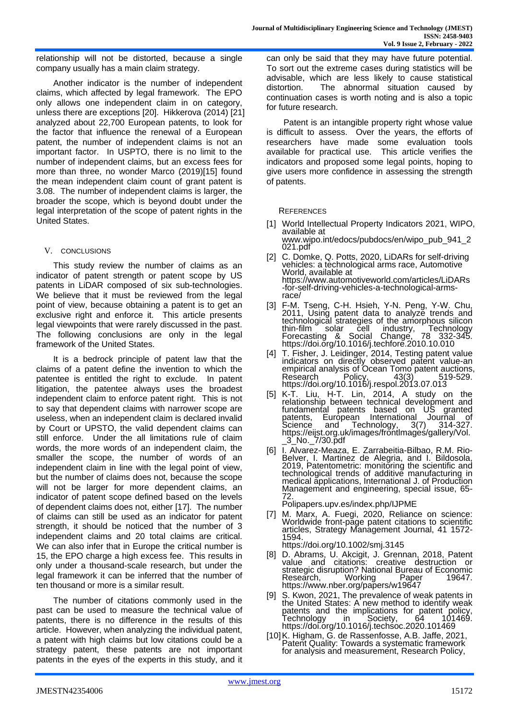relationship will not be distorted, because a single company usually has a main claim strategy.

Another indicator is the number of independent claims, which affected by legal framework. The EPO only allows one independent claim in on category, unless there are exceptions [20]. Hikkerova (2014) [21] analyzed about 22,700 European patents, to look for the factor that influence the renewal of a European patent, the number of independent claims is not an important factor. In USPTO, there is no limit to the number of independent claims, but an excess fees for more than three, no wonder Marco (2019)[15] found the mean independent claim count of grant patent is 3.08. The number of independent claims is larger, the broader the scope, which is beyond doubt under the legal interpretation of the scope of patent rights in the United States.

## V. CONCLUSIONS

This study review the number of claims as an indicator of patent strength or patent scope by US patents in LiDAR composed of six sub-technologies. We believe that it must be reviewed from the legal point of view, because obtaining a patent is to get an exclusive right and enforce it. This article presents legal viewpoints that were rarely discussed in the past. The following conclusions are only in the legal framework of the United States.

It is a bedrock principle of patent law that the claims of a patent define the invention to which the patentee is entitled the right to exclude. In patent litigation, the patentee always uses the broadest independent claim to enforce patent right. This is not to say that dependent claims with narrower scope are useless, when an independent claim is declared invalid by Court or UPSTO, the valid dependent claims can still enforce. Under the all limitations rule of claim words, the more words of an independent claim, the smaller the scope, the number of words of an independent claim in line with the legal point of view, but the number of claims does not, because the scope will not be larger for more dependent claims, an indicator of patent scope defined based on the levels of dependent claims does not, either [17]. The number of claims can still be used as an indicator for patent strength, it should be noticed that the number of 3 independent claims and 20 total claims are critical. We can also infer that in Europe the critical number is 15, the EPO charge a high excess fee. This results in only under a thousand-scale research, but under the legal framework it can be inferred that the number of ten thousand or more is a similar result.

The number of citations commonly used in the past can be used to measure the technical value of patents, there is no difference in the results of this article. However, when analyzing the individual patent, a patent with high claims but low citations could be a strategy patent, these patents are not important patents in the eyes of the experts in this study, and it can only be said that they may have future potential. To sort out the extreme cases during statistics will be advisable, which are less likely to cause statistical distortion. The abnormal situation caused by continuation cases is worth noting and is also a topic for future research.

Patent is an intangible property right whose value is difficult to assess. Over the years, the efforts of researchers have made some evaluation tools available for practical use. This article verifies the indicators and proposed some legal points, hoping to give users more confidence in assessing the strength of patents.

#### **REFERENCES**

- [1] World Intellectual Property Indicators 2021, WIPO, available at www.wipo.int/edocs/pubdocs/en/wipo\_pub\_941\_2
- 021.pdf [2] C. Domke, Q. Potts, 2020, LiDARs for self-driving vehicles: a technological arms race, Automotive World, available at https://www.automotiveworld.com/articles/LiDARs -for-self-driving-vehicles-a-technological-armsrace/
- [3] F-M. Tseng, C-H. Hsieh, Y-N. Peng, Y-W. Chu, 2011, Using patent data to analyze trends and technological strategies of the amorphous silicon thin-film solar cell industry, Technology Forecasting & Social Change, 78 332-345. https://doi.org/10.1016/j.techfore.2010.10.010
- [4] T. Fisher, J. Leidinger, 2014, Testing patent value indicators on directly observed patent value-an empirical analysis of Ocean Tomo patent auctions, Research Policy, 43(3) 519-529. https://doi.org/10.1016/j.respol.2013.07.013
- [5] K-T. Liu, H-T. Lin, 2014, A study on the relationship between technical development and fundamental patents based on US granted patents, European International Journal of Science and Technology, 3(7) 314-327. https://eijst.org.uk/images/frontlmages/gallery/Vol. \_3\_No.\_7/30.pdf
- [6] I. Alvarez-Meaza, E. Zarrabeitia-Bilbao, R.M. Rio-Belver, I. Martinez de Alegria, and I. Bildosola, 2019, Patentometric: monitoring the scientific and technological trends of additive manufacturing in medical applications, International J. of Production Management and engineering, special issue, 65- 72.

Polipapers.upv.es/index.php/IJPME

- [7] M. Marx, A. Fuegi, 2020, Reliance on science: Worldwide front-page patent citations to scientific articles, Strategy Management Journal, 41 1572- 1594.
	- https://doi.org/10.1002/smj.3145
- [8] D. Abrams, U. Akcigit, J. Grennan, 2018, Patent value and citations: creative destruction or strategic disruption? National Bureau of Economic Research, Working Paper 19647. Research, Working Paper<br><https://www.nber.org/papers/w19647>
- [9] S. Kwon, 2021, The prevalence of weak patents in the United States: A new method to identify weak patents and the implications for patent policy, Technology in Society, 64 101469. https://doi.org/10.1016/j.techsoc.2020.101469
- [10]K. Higham, G. de Rassenfosse, A.B. Jaffe, 2021, Patent Quality: Towards a systematic framework for analysis and measurement, Research Policy,